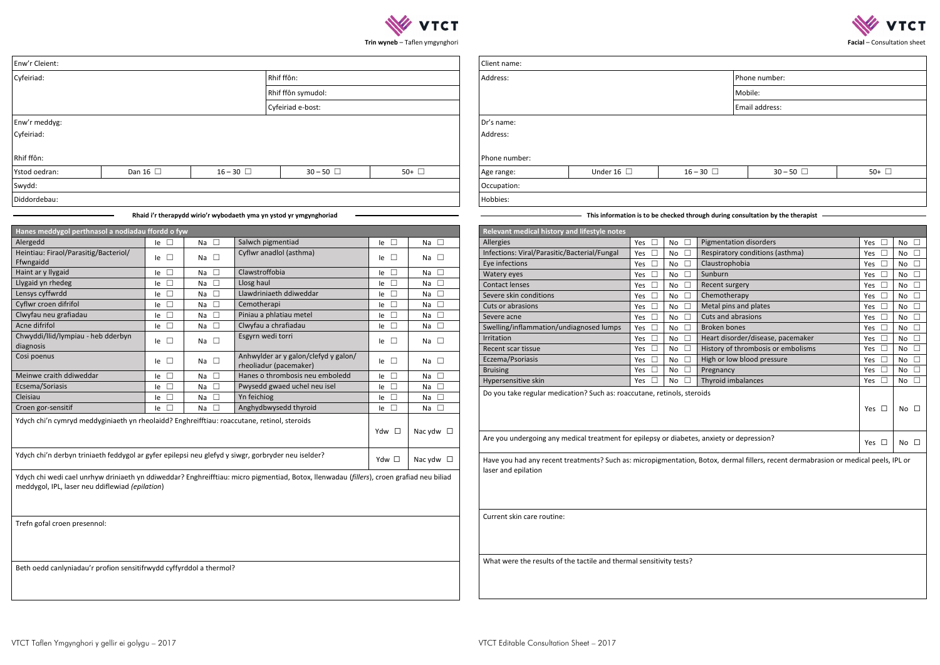

| mentation disorders             | Yes        | No |
|---------------------------------|------------|----|
| spiratory conditions (asthma)   | Yes        | No |
| ustrophobia                     | Yes        | No |
| nburn                           | Yes        | No |
| cent surgery                    | Yes        | No |
| emotherapy                      | Yes        | No |
| tal pins and plates             | Yes        | No |
| ts and abrasions                | Yes        | No |
| oken bones                      | Yes        | No |
| art disorder/disease, pacemaker | Yes        | No |
| tory of thrombosis or embolisms | Yes        | No |
| th or low blood pressure        | Yes        | No |
| egnancy                         | Yes        | No |
| yroid imbalances                | Yes        | No |
|                                 | <b>Yes</b> | No |
| xiety or depression?            | Yes        | No |



**Trin wyneb** – Taflen ymgynghori

| Enw'r Cleient:                                                                              |               |                            |                              |                                                                                                                                          |                            | Client name:              |                                                                                           |               |                                |                              |                                             |                                                                                                                                     |                                |                              |  |  |
|---------------------------------------------------------------------------------------------|---------------|----------------------------|------------------------------|------------------------------------------------------------------------------------------------------------------------------------------|----------------------------|---------------------------|-------------------------------------------------------------------------------------------|---------------|--------------------------------|------------------------------|---------------------------------------------|-------------------------------------------------------------------------------------------------------------------------------------|--------------------------------|------------------------------|--|--|
| Rhif ffôn:<br>Cyfeiriad:                                                                    |               |                            |                              |                                                                                                                                          |                            |                           | Address:                                                                                  |               |                                | Phone number:                |                                             |                                                                                                                                     |                                |                              |  |  |
|                                                                                             |               |                            |                              | Rhif ffôn symudol:                                                                                                                       |                            |                           |                                                                                           |               |                                |                              |                                             | Mobile:                                                                                                                             |                                |                              |  |  |
| Cyfeiriad e-bost:                                                                           |               |                            |                              |                                                                                                                                          |                            |                           |                                                                                           |               |                                |                              |                                             |                                                                                                                                     |                                |                              |  |  |
| Enw'r meddyg:                                                                               |               |                            |                              |                                                                                                                                          |                            |                           | Email address:<br>Dr's name:                                                              |               |                                |                              |                                             |                                                                                                                                     |                                |                              |  |  |
|                                                                                             |               |                            |                              |                                                                                                                                          |                            |                           |                                                                                           |               |                                |                              |                                             |                                                                                                                                     |                                |                              |  |  |
| Cyfeiriad:                                                                                  |               |                            |                              |                                                                                                                                          |                            |                           | Address:                                                                                  |               |                                |                              |                                             |                                                                                                                                     |                                |                              |  |  |
| Rhif ffôn:                                                                                  |               |                            |                              |                                                                                                                                          |                            |                           | Phone number:                                                                             |               |                                |                              |                                             |                                                                                                                                     |                                |                              |  |  |
| Ystod oedran:                                                                               | Dan 16 $\Box$ |                            |                              | $16 - 30$ $\Box$<br>$30 - 50$ $\Box$                                                                                                     |                            | 50+ $\Box$                | $30 - 50$<br>Under 16 $\Box$<br>$16 - 30$ $\Box$<br>Age range:                            |               |                                |                              |                                             |                                                                                                                                     | 50+ $\Box$                     |                              |  |  |
| Swydd:                                                                                      |               |                            |                              |                                                                                                                                          |                            |                           | Occupation:                                                                               |               |                                |                              |                                             |                                                                                                                                     |                                |                              |  |  |
| Diddordebau:                                                                                |               |                            |                              |                                                                                                                                          |                            |                           | Hobbies:                                                                                  |               |                                |                              |                                             |                                                                                                                                     |                                |                              |  |  |
|                                                                                             |               |                            |                              |                                                                                                                                          |                            |                           |                                                                                           |               |                                |                              |                                             |                                                                                                                                     |                                |                              |  |  |
|                                                                                             |               |                            |                              | Rhaid i'r therapydd wirio'r wybodaeth yma yn ystod yr ymgynghoriad                                                                       |                            |                           |                                                                                           |               |                                |                              |                                             | This information is to be checked through during consultation by the therapist                                                      |                                |                              |  |  |
| Hanes meddygol perthnasol a nodiadau ffordd o fyw                                           |               |                            |                              |                                                                                                                                          |                            |                           | Relevant medical history and lifestyle notes                                              |               |                                |                              |                                             |                                                                                                                                     |                                |                              |  |  |
| Alergedd                                                                                    |               | $Ie$ $\Box$                | Na $\square$                 | Salwch pigmentiad                                                                                                                        | $le$ $\Box$                | Na $\square$              | Allergies                                                                                 |               | Yes $\square$                  | No $\square$                 | Pigmentation disorders                      |                                                                                                                                     | Yes $\square$                  | No $\square$                 |  |  |
| Heintiau: Firaol/Parasitig/Bacteriol/                                                       |               | $le$ $\Box$                | Na $\square$                 | Cyflwr anadlol (asthma)                                                                                                                  | $le$ $\Box$                | Na $\square$              | Infections: Viral/Parasitic/Bacterial/Fungal                                              |               | Yes $\square$                  | No $\square$                 |                                             | Respiratory conditions (asthma)                                                                                                     | Yes $\square$                  | No $\square$                 |  |  |
| Ffwngaidd                                                                                   |               |                            |                              | Clawstroffobia                                                                                                                           |                            |                           | Eye infections                                                                            |               | Yes $\square$                  | No $\square$                 | Claustrophobia                              |                                                                                                                                     | Yes $\square$                  | No $\square$                 |  |  |
| Haint ar y llygaid<br>Llygaid yn rhedeg                                                     |               | $le$ $\Box$<br>$le$ $\Box$ | Na $\square$<br>Na $\square$ | Llosg haul                                                                                                                               | $le$ $\Box$<br>$le$ $\Box$ | Na $\Box$<br>Na $\square$ | Watery eyes                                                                               |               | Yes $\square$                  | No $\square$                 | Sunburn                                     |                                                                                                                                     | Yes $\square$                  | No $\square$                 |  |  |
| Lensys cyffwrdd                                                                             |               | $le$ $\Box$                | Na $\square$                 | Llawdriniaeth ddiweddar                                                                                                                  | $le$ $\Box$                | Na $\square$              | <b>Contact lenses</b>                                                                     | Yes $\square$ | No $\square$                   | Recent surgery               |                                             | Yes $\square$                                                                                                                       | No $\square$                   |                              |  |  |
| Cyflwr croen difrifol                                                                       |               | le $\square$               | Na $\square$                 | Cemotherapi                                                                                                                              | $Ie$ $\square$             | Na $\square$              | Severe skin conditions                                                                    |               | Yes $\square$                  | No $\square$                 | Chemotherapy                                |                                                                                                                                     | Yes $\square$                  | No $\square$                 |  |  |
| Clwyfau neu grafiadau                                                                       |               | $le \Box$                  | Na $\square$                 | Piniau a phlatiau metel                                                                                                                  | $le$ $\Box$                | Na $\square$              | Cuts or abrasions                                                                         |               | Yes $\square$                  | No $\square$                 | Metal pins and plates<br>Cuts and abrasions |                                                                                                                                     | Yes $\square$<br>Yes $\square$ | No $\square$<br>No $\square$ |  |  |
| Acne difrifol                                                                               |               | le $\square$               | Na $\square$                 | Clwyfau a chrafiadau                                                                                                                     | $le$ $\Box$                | Na $\square$              | Severe acne<br>Swelling/inflammation/undiagnosed lumps                                    |               | Yes $\square$                  | No $\square$<br>No $\square$ | <b>Broken bones</b>                         |                                                                                                                                     | Yes $\square$                  | No $\square$                 |  |  |
| Chwyddi/llid/lympiau - heb dderbyn                                                          |               |                            |                              | Esgyrn wedi torri                                                                                                                        |                            |                           | Irritation                                                                                |               | Yes $\square$<br>Yes $\square$ | No $\square$                 |                                             | Heart disorder/disease, pacemaker                                                                                                   | Yes $\square$                  | No $\square$                 |  |  |
| diagnosis                                                                                   |               | le $\Box$                  | Na $\square$                 |                                                                                                                                          | $le$ $\Box$                | Na $\square$              | Recent scar tissue                                                                        |               | Yes                            | No $\square$                 |                                             | History of thrombosis or embolisms                                                                                                  | Yes $\square$                  | No $\square$                 |  |  |
| Cosi poenus                                                                                 |               | le $\square$               | Na $\square$                 | Anhwylder ar y galon/clefyd y galon/                                                                                                     | $le$ $\Box$                | Na $\Box$                 | Eczema/Psoriasis                                                                          |               | Yes                            | No $\square$                 |                                             | High or low blood pressure                                                                                                          | Yes $\square$                  | No $\square$                 |  |  |
|                                                                                             |               |                            |                              | rheoliadur (pacemaker)                                                                                                                   |                            |                           | <b>Bruising</b>                                                                           |               | Yes                            | No $\square$                 | Pregnancy                                   |                                                                                                                                     | Yes $\square$                  | No $\square$                 |  |  |
| Meinwe craith ddiweddar                                                                     |               | $le$ $\Box$                | Na $\square$                 | Hanes o thrombosis neu emboledd                                                                                                          | $le$ $\Box$                | Na $\square$              | Hypersensitive skin                                                                       |               | Yes $\square$                  | No $\square$                 | Thyroid imbalances                          |                                                                                                                                     | Yes $\square$                  | No $\square$                 |  |  |
| Ecsema/Soriasis                                                                             |               | $le \Box$                  | Na $\square$                 | Pwysedd gwaed uchel neu isel                                                                                                             | $le$ $\square$             | Na $\square$              | Do you take regular medication? Such as: roaccutane, retinols, steroids                   |               |                                |                              |                                             |                                                                                                                                     |                                |                              |  |  |
| Cleisiau                                                                                    |               | $le$ $\Box$                | Na $\square$                 | Yn feichiog                                                                                                                              | $le$ $\square$             | Na $\square$              |                                                                                           |               |                                |                              | Yes $\square$                               |                                                                                                                                     |                                |                              |  |  |
| Croen gor-sensitif                                                                          |               | $le$ $\Box$                | Na $\square$                 | Anghydbwysedd thyroid                                                                                                                    | le $\square$               | Na $\square$              |                                                                                           |               |                                |                              |                                             |                                                                                                                                     |                                | No $\square$                 |  |  |
| Ydych chi'n cymryd meddyginiaeth yn rheolaidd? Enghreifftiau: roaccutane, retinol, steroids |               |                            |                              |                                                                                                                                          |                            |                           |                                                                                           |               |                                |                              |                                             |                                                                                                                                     |                                |                              |  |  |
|                                                                                             |               |                            |                              |                                                                                                                                          | Ydw □                      | Nac ydw $\Box$            | Are you undergoing any medical treatment for epilepsy or diabetes, anxiety or depression? |               |                                |                              |                                             |                                                                                                                                     |                                |                              |  |  |
|                                                                                             |               |                            |                              |                                                                                                                                          |                            |                           |                                                                                           |               |                                |                              |                                             |                                                                                                                                     | Yes $\square$                  | No $\square$                 |  |  |
|                                                                                             |               |                            |                              | Ydych chi'n derbyn triniaeth feddygol ar gyfer epilepsi neu glefyd y siwgr, gorbryder neu iselder?                                       | Ydw □                      | Nac ydw $\Box$            |                                                                                           |               |                                |                              |                                             | Have you had any recent treatments? Such as: micropigmentation, Botox, dermal fillers, recent dermabrasion or medical peels, IPL or |                                |                              |  |  |
|                                                                                             |               |                            |                              | Ydych chi wedi cael unrhyw driniaeth yn ddiweddar? Enghreifftiau: micro pigmentiad, Botox, llenwadau (fillers), croen grafiad neu biliad |                            |                           | laser and epilation                                                                       |               |                                |                              |                                             |                                                                                                                                     |                                |                              |  |  |
| meddygol, IPL, laser neu ddiflewiad (epilation)                                             |               |                            |                              |                                                                                                                                          |                            |                           |                                                                                           |               |                                |                              |                                             |                                                                                                                                     |                                |                              |  |  |
|                                                                                             |               |                            |                              |                                                                                                                                          |                            |                           |                                                                                           |               |                                |                              |                                             |                                                                                                                                     |                                |                              |  |  |
|                                                                                             |               |                            |                              |                                                                                                                                          |                            |                           |                                                                                           |               |                                |                              |                                             |                                                                                                                                     |                                |                              |  |  |
|                                                                                             |               |                            |                              |                                                                                                                                          |                            |                           | Current skin care routine:                                                                |               |                                |                              |                                             |                                                                                                                                     |                                |                              |  |  |
| Trefn gofal croen presennol:                                                                |               |                            |                              |                                                                                                                                          |                            |                           |                                                                                           |               |                                |                              |                                             |                                                                                                                                     |                                |                              |  |  |
|                                                                                             |               |                            |                              |                                                                                                                                          |                            |                           |                                                                                           |               |                                |                              |                                             |                                                                                                                                     |                                |                              |  |  |
|                                                                                             |               |                            |                              |                                                                                                                                          |                            |                           |                                                                                           |               |                                |                              |                                             |                                                                                                                                     |                                |                              |  |  |
| Beth oedd canlyniadau'r profion sensitifrwydd cyffyrddol a thermol?                         |               |                            |                              |                                                                                                                                          |                            |                           | What were the results of the tactile and thermal sensitivity tests?                       |               |                                |                              |                                             |                                                                                                                                     |                                |                              |  |  |
|                                                                                             |               |                            |                              |                                                                                                                                          |                            |                           |                                                                                           |               |                                |                              |                                             |                                                                                                                                     |                                |                              |  |  |
|                                                                                             |               |                            |                              |                                                                                                                                          |                            |                           |                                                                                           |               |                                |                              |                                             |                                                                                                                                     |                                |                              |  |  |
|                                                                                             |               |                            |                              |                                                                                                                                          |                            |                           |                                                                                           |               |                                |                              |                                             |                                                                                                                                     |                                |                              |  |  |
|                                                                                             |               |                            |                              |                                                                                                                                          |                            |                           |                                                                                           |               |                                |                              |                                             |                                                                                                                                     |                                |                              |  |  |